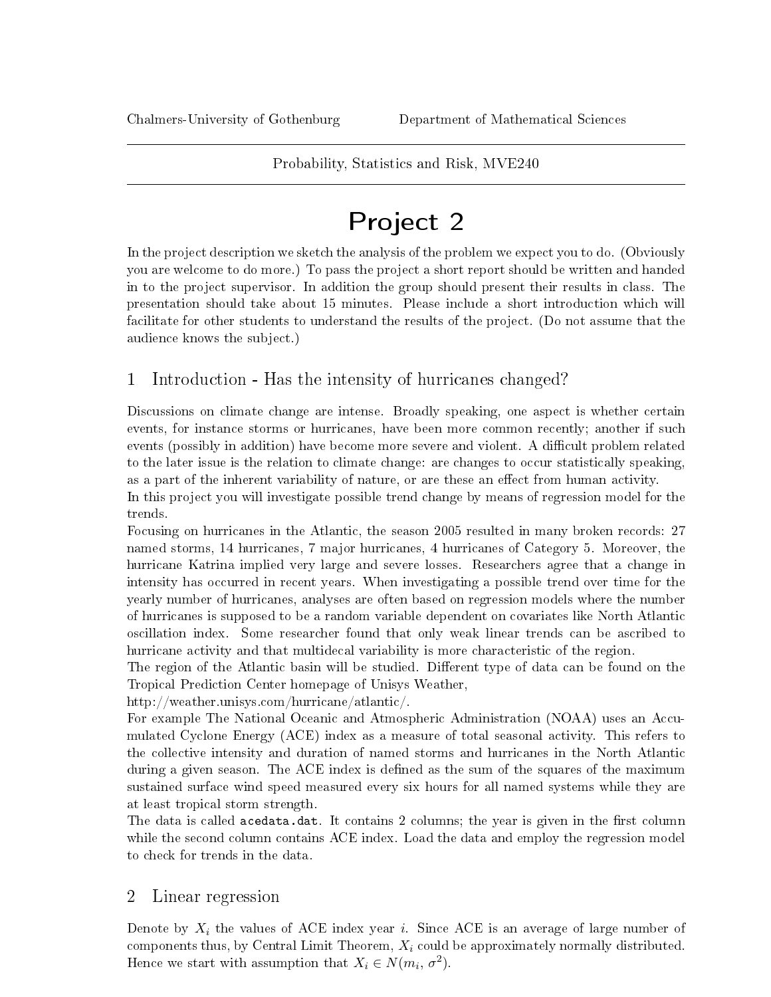## Probability, Statistics and Risk, MVE240

# Project 2

In the project description we sketch the analysis of the problem we expect you to do. (Obviously you are welcome to do more.) To pass the project a short report should be written and handed in to the project supervisor. In addition the group should present their results in class. The presentation should take about 15 minutes. Please include a short introduction which will facilitate for other students to understand the results of the project. (Do not assume that the audience knows the subject.)

# 1 Introduction - Has the intensity of hurricanes changed?

Discussions on climate change are intense. Broadly speaking, one aspect is whether certain events, for instance storms or hurricanes, have been more common recently; another if such events (possibly in addition) have become more severe and violent. A difficult problem related to the later issue is the relation to climate change: are changes to occur statistically speaking, as a part of the inherent variability of nature, or are these an effect from human activity.

In this project you will investigate possible trend change by means of regression model for the trends.

Focusing on hurricanes in the Atlantic, the season 2005 resulted in many broken records: 27 named storms, 14 hurricanes, 7 major hurricanes, 4 hurricanes of Category 5. Moreover, the hurricane Katrina implied very large and severe losses. Researchers agree that a change in intensity has occurred in recent years. When investigating a possible trend over time for the yearly number of hurricanes, analyses are often based on regression models where the number of hurricanes is supposed to be a random variable dependent on covariates like North Atlantic oscillation index. Some researcher found that only weak linear trends can be ascribed to hurricane activity and that multidecal variability is more characteristic of the region.

The region of the Atlantic basin will be studied. Different type of data can be found on the Tropical Prediction Center homepage of Unisys Weather,

http://weather.unisys.com/hurricane/atlantic/.

For example The National Oceanic and Atmospheric Administration (NOAA) uses an Accumulated Cyclone Energy (ACE) index as a measure of total seasonal activity. This refers to the collective intensity and duration of named storms and hurricanes in the North Atlantic during a given season. The ACE index is defined as the sum of the squares of the maximum sustained surface wind speed measured every six hours for all named systems while they are at least tropical storm strength.

The data is called acedata.dat. It contains 2 columns; the year is given in the first column while the second column contains ACE index. Load the data and employ the regression model to check for trends in the data.

## 2 Linear regression

Denote by  $X_i$  the values of ACE index year i. Since ACE is an average of large number of components thus, by Central Limit Theorem,  $X_i$  could be approximately normally distributed. Hence we start with assumption that  $X_i \in N(m_i, \sigma^2)$ .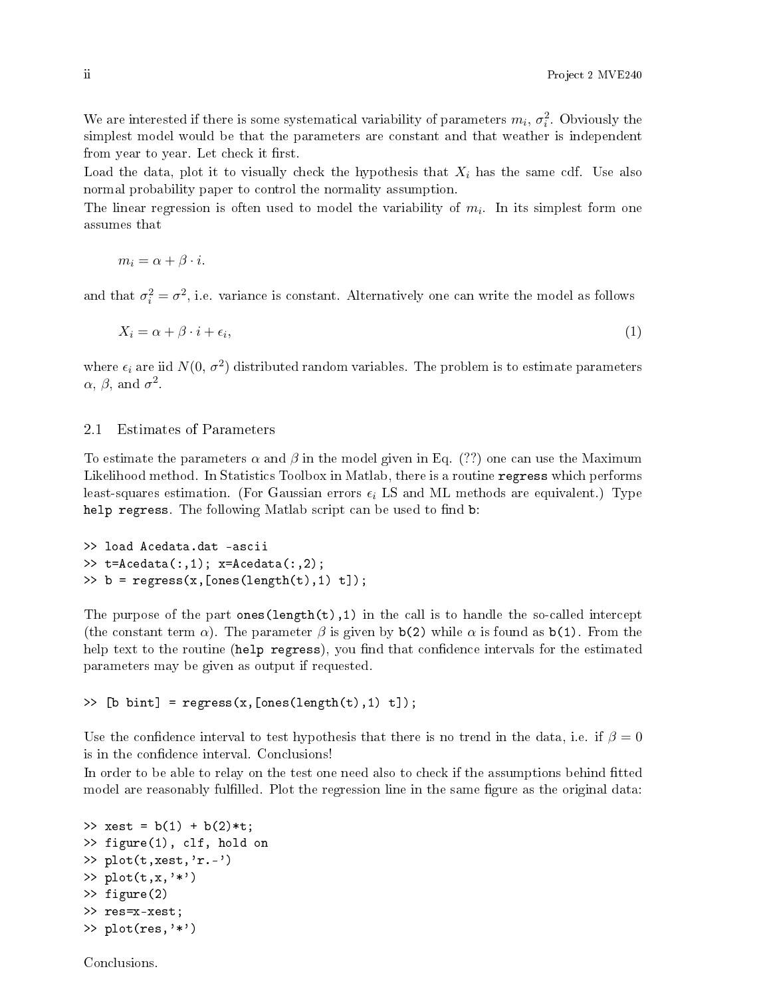We are interested if there is some systematical variability of parameters  $m_i$ ,  $\sigma_i^2$ . Obviously the simplest model would be that the parameters are constant and that weather is independent from year to year. Let check it first.

Load the data, plot it to visually check the hypothesis that  $X_i$  has the same cdf. Use also normal probability paper to control the normality assumption.

The linear regression is often used to model the variability of  $m_i$ . In its simplest form one assumes that

 $m_i = \alpha + \beta \cdot i$ .

and that  $\sigma_i^2 = \sigma^2$ , i.e. variance is constant. Alternatively one can write the model as follows

$$
X_i = \alpha + \beta \cdot i + \epsilon_i,\tag{1}
$$

where  $\epsilon_i$  are iid  $N(0, \sigma^2)$  distributed random variables. The problem is to estimate parameters  $\alpha$ ,  $\beta$ , and  $\sigma^2$ .

#### 2.1 Estimates of Parameters

To estimate the parameters  $\alpha$  and  $\beta$  in the model given in Eq. (??) one can use the Maximum Likelihood method. In Statistics Toolbox in Matlab, there is a routine regress which performs least-squares estimation. (For Gaussian errors  $\epsilon_i$  LS and ML methods are equivalent.) Type help regress. The following Matlab script can be used to find b:

```
>> load Acedata.dat -ascii
>> t=Acedata(:,1); x=Acedata(:,2);
\Rightarrow b = regress(x, [ones(length(t), 1) t]);
```
The purpose of the part ones  $(\text{length}(t),1)$  in the call is to handle the so-called intercept (the constant term  $\alpha$ ). The parameter  $\beta$  is given by b(2) while  $\alpha$  is found as b(1). From the help text to the routine (help regress), you find that confidence intervals for the estimated parameters may be given as output if requested.

```
\geq [b bint] = regress(x, [ones(length(t), 1) t]);
```
Use the confidence interval to test hypothesis that there is no trend in the data, i.e. if  $\beta = 0$ is in the confidence interval. Conclusions!

In order to be able to relay on the test one need also to check if the assumptions behind fitted model are reasonably fulfilled. Plot the regression line in the same figure as the original data:

```
>> xest = b(1) + b(2)*t;
>> figure(1), clf, hold on
>> plot(t,xest,'r.-')
\gg plot(t,x,'*')
>> figure(2)
>> res=x-xest;
\gg plot(res,'*')
```
Conclusions.